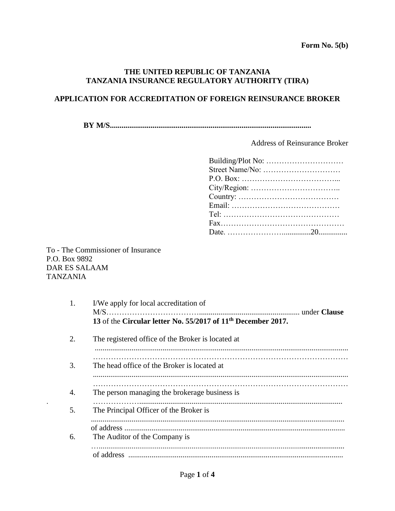## **THE UNITED REPUBLIC OF TANZANIA TANZANIA INSURANCE REGULATORY AUTHORITY (TIRA)**

## **APPLICATION FOR ACCREDITATION OF FOREIGN REINSURANCE BROKER**

**BY M/S........................................................................................................** 

Address of Reinsurance Broker

To - The Commissioner of Insurance P.O. Box 9892 DAR ES SALAAM TANZANIA

| 1. | I/We apply for local accreditation of                                    |  |  |  |
|----|--------------------------------------------------------------------------|--|--|--|
|    | 13 of the Circular letter No. 55/2017 of 11 <sup>th</sup> December 2017. |  |  |  |
| 2. | The registered office of the Broker is located at                        |  |  |  |
|    |                                                                          |  |  |  |
| 3. | The head office of the Broker is located at                              |  |  |  |
|    |                                                                          |  |  |  |
| 4. | The person managing the brokerage business is                            |  |  |  |
| 5. | The Principal Officer of the Broker is                                   |  |  |  |
|    |                                                                          |  |  |  |
| 6. | The Auditor of the Company is                                            |  |  |  |
|    |                                                                          |  |  |  |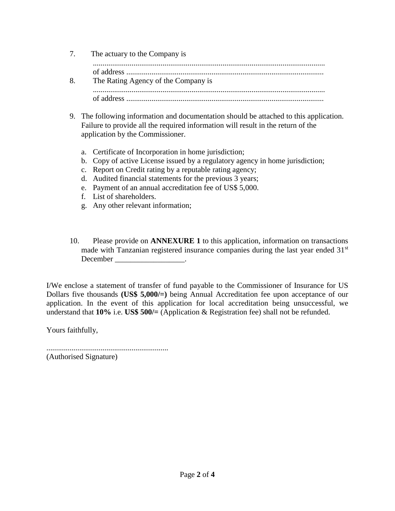|    | 7. The actuary to the Company is    |  |  |
|----|-------------------------------------|--|--|
| 8. | The Rating Agency of the Company is |  |  |
|    |                                     |  |  |

- 9. The following information and documentation should be attached to this application. Failure to provide all the required information will result in the return of the application by the Commissioner.
	- a. Certificate of Incorporation in home jurisdiction;
	- b. Copy of active License issued by a regulatory agency in home jurisdiction;
	- c. Report on Credit rating by a reputable rating agency;
	- d. Audited financial statements for the previous 3 years;
	- e. Payment of an annual accreditation fee of US\$ 5,000.
	- f. List of shareholders.
	- g. Any other relevant information;
- 10. Please provide on **ANNEXURE 1** to this application, information on transactions made with Tanzanian registered insurance companies during the last year ended 31<sup>st</sup> December \_\_\_\_\_\_\_\_\_\_\_\_\_\_\_\_\_\_.

I/We enclose a statement of transfer of fund payable to the Commissioner of Insurance for US Dollars five thousands **(US\$ 5,000/=)** being Annual Accreditation fee upon acceptance of our application. In the event of this application for local accreditation being unsuccessful, we understand that **10%** i.e. **US\$ 500/=** (Application & Registration fee) shall not be refunded.

Yours faithfully,

............................................................... (Authorised Signature)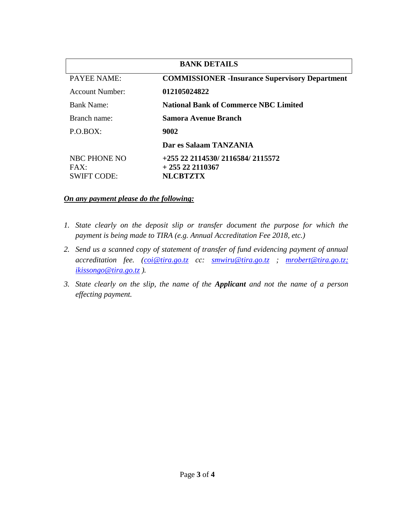| <b>BANK DETAILS</b>                               |                                                                         |  |  |  |  |
|---------------------------------------------------|-------------------------------------------------------------------------|--|--|--|--|
| <b>PAYEE NAME:</b>                                | <b>COMMISSIONER</b> - Insurance Supervisory Department                  |  |  |  |  |
| Account Number:                                   | 012105024822                                                            |  |  |  |  |
| <b>Bank Name:</b>                                 | <b>National Bank of Commerce NBC Limited</b>                            |  |  |  |  |
| Branch name:                                      | Samora Avenue Branch                                                    |  |  |  |  |
| $P.O.BOX$ :                                       | 9002                                                                    |  |  |  |  |
|                                                   | Dar es Salaam TANZANIA                                                  |  |  |  |  |
| <b>NBC PHONE NO</b><br>FAX:<br><b>SWIFT CODE:</b> | +255 22 2114530/ 2116584/ 2115572<br>$+255222110367$<br><b>NLCBTZTX</b> |  |  |  |  |

## *On any payment please do the following:*

- *1.* State clearly on the deposit slip or transfer document the purpose for which the *payment is being made to TIRA (e.g. Annual Accreditation Fee 2018, etc.)*
- *2. Send us a scanned copy of statement of transfer of fund evidencing payment of annual accreditation fee. [\(coi@tira.go.tz](mailto:coi@tira.go.tz) cc: [smwiru@tira.go.tz](mailto:smwiru@tira.go.tz) ; [mrobert@tira.go.tz;](mailto:mrobert@tira.go.tz) ikissongo@tira.go.tz ).*
- *3. State clearly on the slip, the name of the Applicant and not the name of a person effecting payment.*